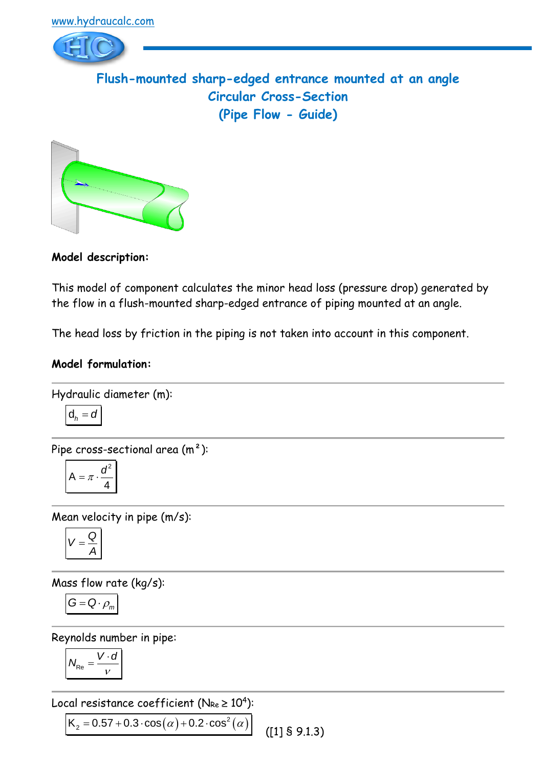

**Model description:**

This model of component calculates the minor head loss (pressure drop) generated by the flow in a flush-mounted sharp-edged entrance of piping mounted at an angle.

The head loss by friction in the piping is not taken into account in this component.

### **Model formulation:**

Hydraulic diameter (m):  

$$
d_h = d
$$

Pipe cross-sectional area (m²):

$$
A = \pi \cdot \frac{d^2}{4}
$$

Mean velocity in pipe (m/s):

$$
V=\frac{Q}{A}
$$

Mass flow rate (kg/s):

$$
G = Q \cdot \rho_m
$$

Reynolds number in pipe:

$$
N_{\text{Re}} = \frac{V \cdot d}{v}
$$

Local resistance coefficient (N $_{\sf Re}$   $\geq 10^4$ ):

Local resistance coefficient (NRe  $\geq 10$ ):<br> $K_2 = 0.57 + 0.3 \cdot \cos(\alpha) + 0.2 \cdot \cos^2(\alpha)$ ([1] § 9.1.3)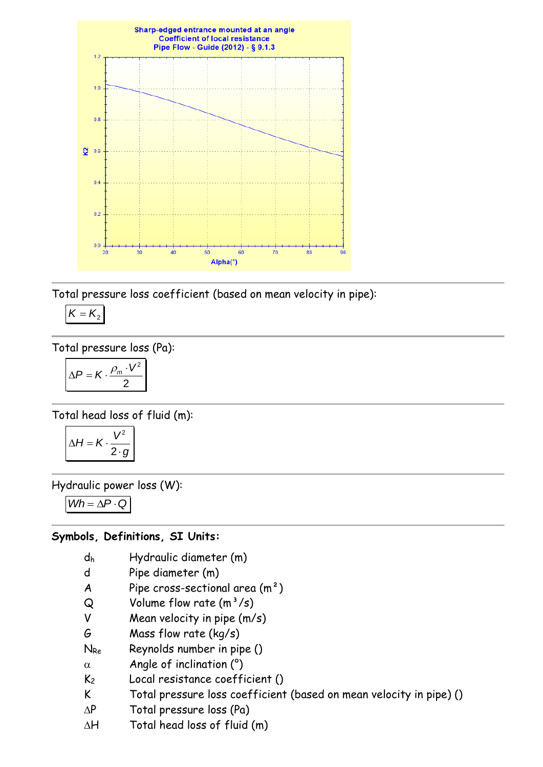

Total pressure loss coefficient (based on mean velocity in pipe):

$$
K=K_2
$$

Total pressure loss (Pa):

$$
\Delta P = K \cdot \frac{\rho_m \cdot V^2}{2}
$$

Total head loss of fluid (m):

$$
\Delta H = K \cdot \frac{V^2}{2 \cdot g}
$$

Hydraulic power loss (W):

 $Wh = \Delta P \cdot Q$ 

# **Symbols, Definitions, SI Units:**

- d<sup>h</sup> Hydraulic diameter (m)
- d Pipe diameter (m)
- A Pipe cross-sectional area  $(m<sup>2</sup>)$
- $Q$  Volume flow rate  $(m^3/s)$
- V Mean velocity in pipe (m/s)
- G Mass flow rate (kg/s)
- N<sub>Re</sub> Reynolds number in pipe ()
- $\alpha$  Angle of inclination (°)
- K<sup>2</sup> Local resistance coefficient ()
- K Total pressure loss coefficient (based on mean velocity in pipe) ()
- $\Delta P$  Total pressure loss (Pa)
- $\Delta H$  Total head loss of fluid (m)